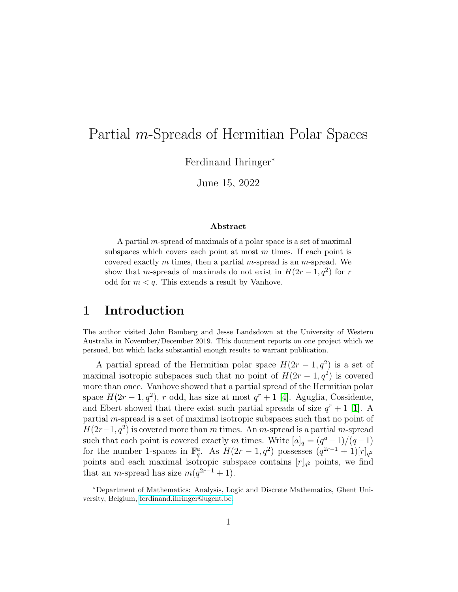# Partial m-Spreads of Hermitian Polar Spaces

Ferdinand Ihringer\*

June 15, 2022

#### Abstract

A partial *m*-spread of maximals of a polar space is a set of maximal subspaces which covers each point at most  $m$  times. If each point is covered exactly m times, then a partial m-spread is an m-spread. We show that m-spreads of maximals do not exist in  $H(2r-1, q^2)$  for r odd for  $m < q$ . This extends a result by Vanhove.

### 1 Introduction

The author visited John Bamberg and Jesse Landsdown at the University of Western Australia in November/December 2019. This document reports on one project which we persued, but which lacks substantial enough results to warrant publication.

A partial spread of the Hermitian polar space  $H(2r-1, q^2)$  is a set of maximal isotropic subspaces such that no point of  $H(2r-1, q^2)$  is covered more than once. Vanhove showed that a partial spread of the Hermitian polar space  $H(2r-1, q^2)$ , r odd, has size at most  $q^r + 1$  [\[4\]](#page-3-0). Aguglia, Cossidente, and Ebert showed that there exist such partial spreads of size  $q^r + 1$  [\[1\]](#page-3-1). A partial m-spread is a set of maximal isotropic subspaces such that no point of  $H(2r-1, q^2)$  is covered more than m times. An m-spread is a partial m-spread such that each point is covered exactly m times. Write  $[a]_q = (q^a - 1)/(q - 1)$ for the number 1-spaces in  $\mathbb{F}_q^a$ . As  $H(2r-1,q^2)$  possesses  $(q^{2r-1}+1)[r]_{q^2}$ points and each maximal isotropic subspace contains  $[r]_{q^2}$  points, we find that an *m*-spread has size  $m(q^{2r-1}+1)$ .

<sup>\*</sup>Department of Mathematics: Analysis, Logic and Discrete Mathematics, Ghent University, Belgium, [ferdinand.ihringer@ugent.be.](mailto:ferdinand.ihringer@ugent.be)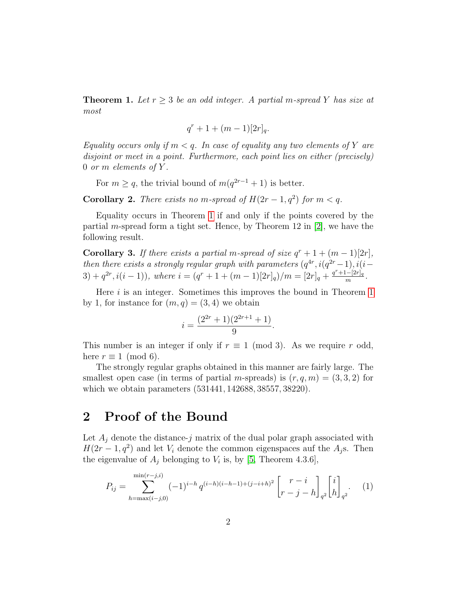<span id="page-1-0"></span>**Theorem 1.** Let  $r \geq 3$  be an odd integer. A partial m-spread Y has size at most

$$
q^r + 1 + (m-1)[2r]_q.
$$

Equality occurs only if  $m < q$ . In case of equality any two elements of Y are disjoint or meet in a point. Furthermore, each point lies on either (precisely) 0 or m elements of  $Y$ .

For  $m \ge q$ , the trivial bound of  $m(q^{2r-1}+1)$  is better.

**Corollary 2.** There exists no m-spread of  $H(2r-1, q^2)$  for  $m < q$ .

Equality occurs in Theorem [1](#page-1-0) if and only if the points covered by the partial m-spread form a tight set. Hence, by Theorem 12 in  $[2]$ , we have the following result.

**Corollary 3.** If there exists a partial m-spread of size  $q^r + 1 + (m - 1)[2r]$ , then there exists a strongly regular graph with parameters  $(q^{4r}, i(q^{2r}-1), i(i-1))$  $(3) + q^{2r}, i(i-1)$ , where  $i = (q^r + 1 + (m-1)[2r]_q)/m = [2r]_q + \frac{q^r + 1-[2r]_q}{m}$  $\frac{(-|2r]_q}{m}$  .

Here  $i$  is an integer. Sometimes this improves the bound in Theorem [1](#page-1-0) by 1, for instance for  $(m, q) = (3, 4)$  we obtain

<span id="page-1-1"></span>
$$
i = \frac{(2^{2r} + 1)(2^{2r+1} + 1)}{9}.
$$

This number is an integer if only if  $r \equiv 1 \pmod{3}$ . As we require r odd, here  $r \equiv 1 \pmod{6}$ .

The strongly regular graphs obtained in this manner are fairly large. The smallest open case (in terms of partial m-spreads) is  $(r, q, m) = (3, 3, 2)$  for which we obtain parameters (531441, 142688, 38557, 38220).

# 2 Proof of the Bound

Let  $A_i$  denote the distance-j matrix of the dual polar graph associated with  $H(2r-1, q^2)$  and let  $V_i$  denote the common eigenspaces auf the  $A_j$ s. Then the eigenvalue of  $A_j$  belonging to  $V_i$  is, by [\[5,](#page-3-3) Theorem 4.3.6],

$$
P_{ij} = \sum_{h=\max(i-j,0)}^{\min(r-j,i)} (-1)^{i-h} q^{(i-h)(i-h-1)+(j-i+h)^2} \begin{bmatrix} r-i \\ r-j-h \end{bmatrix}_{q^2} \begin{bmatrix} i \\ h \end{bmatrix}_{q^2}.
$$
 (1)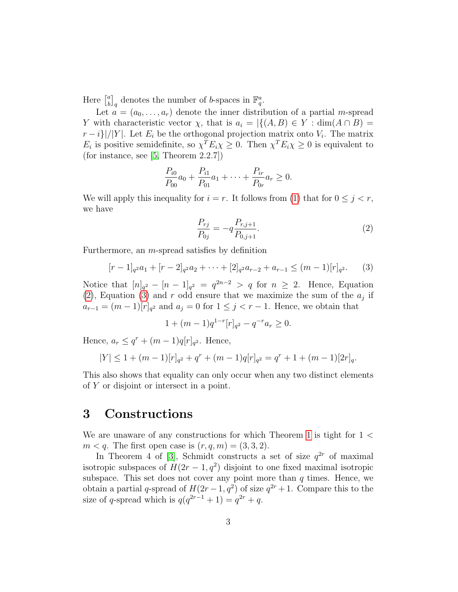Here  $\begin{bmatrix} a \\ b \end{bmatrix}$  $\left[\begin{smallmatrix}a\\b\end{smallmatrix}\right]_q$  denotes the number of b-spaces in  $\mathbb{F}_q^a$ .

Let  $a = (a_0, \ldots, a_r)$  denote the inner distribution of a partial *m*-spread Y with characteristic vector  $\chi$ , that is  $a_i = |\{(A, B) \in Y : \dim(A \cap B) =$  $r - i$ }|/|Y|. Let  $E_i$  be the orthogonal projection matrix onto  $V_i$ . The matrix  $E_i$  is positive semidefinite, so  $\chi^T E_i \chi \geq 0$ . Then  $\chi^T E_i \chi \geq 0$  is equivalent to (for instance, see [\[5,](#page-3-3) Theorem 2.2.7])

$$
\frac{P_{i0}}{P_{00}}a_0 + \frac{P_{i1}}{P_{01}}a_1 + \dots + \frac{P_{ir}}{P_{0r}}a_r \ge 0.
$$

We will apply this inequality for  $i = r$ . It follows from [\(1\)](#page-1-1) that for  $0 \leq j < r$ , we have

<span id="page-2-1"></span><span id="page-2-0"></span>
$$
\frac{P_{rj}}{P_{0j}} = -q \frac{P_{r,j+1}}{P_{0,j+1}}.\t(2)
$$

Furthermore, an m-spread satisfies by definition

$$
[r-1]_{q^2}a_1 + [r-2]_{q^2}a_2 + \dots + [2]_{q^2}a_{r-2} + a_{r-1} \leq (m-1)[r]_{q^2}.
$$
 (3)

Notice that  $[n]_{q^2} - [n-1]_{q^2} = q^{2n-2} > q$  for  $n \ge 2$ . Hence, Equation [\(2\)](#page-2-0), Equation [\(3\)](#page-2-1) and r odd ensure that we maximize the sum of the  $a_j$  if  $a_{r-1} = (m-1)[r]_{q^2}$  and  $a_j = 0$  for  $1 \leq j < r-1$ . Hence, we obtain that

$$
1 + (m-1)q^{1-r}[r]_{q^2} - q^{-r}a_r \ge 0.
$$

Hence,  $a_r \leq q^r + (m-1)q[r]_{q^2}$ . Hence,

$$
|Y| \le 1 + (m-1)[r]_{q^2} + q^r + (m-1)q[r]_{q^2} = q^r + 1 + (m-1)[2r]_q.
$$

This also shows that equality can only occur when any two distinct elements of Y or disjoint or intersect in a point.

#### 3 Constructions

We are unaware of any constructions for which Theorem [1](#page-1-0) is tight for  $1 <$  $m < q$ . The first open case is  $(r, q, m) = (3, 3, 2)$ .

In Theorem 4 of [\[3\]](#page-3-4), Schmidt constructs a set of size  $q^{2r}$  of maximal isotropic subspaces of  $H(2r-1, q^2)$  disjoint to one fixed maximal isotropic subspace. This set does not cover any point more than  $q$  times. Hence, we obtain a partial q-spread of  $H(2r-1, q^2)$  of size  $q^{2r}+1$ . Compare this to the size of q-spread which is  $q(q^{2r-1}+1) = q^{2r} + q$ .